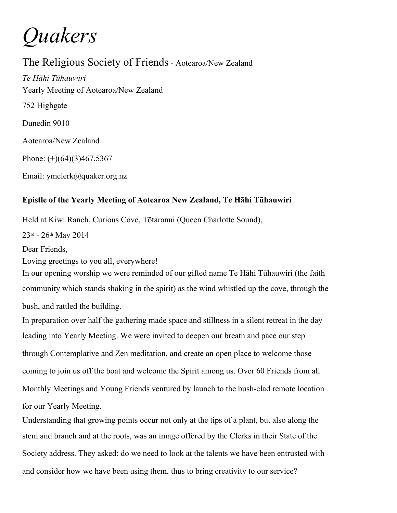*Quakers*

The Religious Society of Friends- Aotearoa/New Zealand *Te Hāhi Tūhauwiri* Yearly Meeting of Aotearoa/New Zealand 752 Highgate Dunedin 9010 Aotearoa/New Zealand Phone:  $(+)(64)(3)467.5367$ 

Email: ymclerk@quaker.org.nz

## **Epistle of the Yearly Meeting of Aotearoa New Zealand, Te Hāhi Tūhauwiri**

Held at Kiwi Ranch, Curious Cove, Tōtaranui (Queen Charlotte Sound),

23rd - 26th May 2014

Dear Friends,

Loving greetings to you all, everywhere!

In our opening worship we were reminded of our gifted name Te Hāhi Tūhauwiri (the faith community which stands shaking in the spirit) as the wind whistled up the cove, through the bush, and rattled the building.

In preparation over half the gathering made space and stillness in a silent retreat in the day leading into Yearly Meeting. We were invited to deepen our breath and pace our step through Contemplative and Zen meditation, and create an open place to welcome those coming to join us off the boat and welcome the Spirit among us. Over 60 Friends from all Monthly Meetings and Young Friends ventured by launch to the bush-clad remote location for our Yearly Meeting.

Understanding that growing points occur not only at the tips of a plant, but also along the stem and branch and at the roots, was an image offered by the Clerks in their State of the Society address. They asked: do we need to look at the talents we have been entrusted with and consider how we have been using them, thus to bring creativity to our service?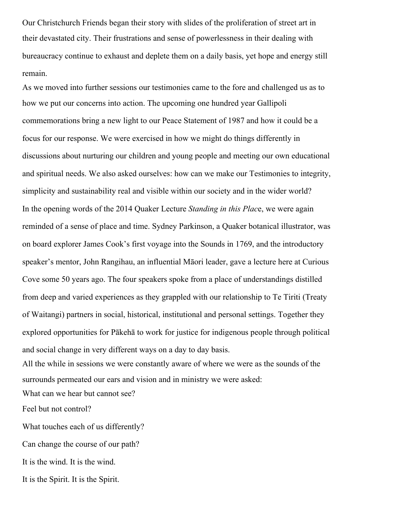Our Christchurch Friends began their story with slides of the proliferation of street art in their devastated city. Their frustrations and sense of powerlessness in their dealing with bureaucracy continue to exhaust and deplete them on a daily basis, yet hope and energy still remain.

As we moved into further sessions our testimonies came to the fore and challenged us as to how we put our concerns into action. The upcoming one hundred year Gallipoli commemorations bring a new light to our Peace Statement of 1987 and how it could be a focus for our response. We were exercised in how we might do things differently in discussions about nurturing our children and young people and meeting our own educational and spiritual needs. We also asked ourselves: how can we make our Testimonies to integrity, simplicity and sustainability real and visible within our society and in the wider world? In the opening words of the 2014 Quaker Lecture *Standing in this Plac*e, we were again reminded of a sense of place and time. Sydney Parkinson, a Quaker botanical illustrator, was on board explorer James Cook's first voyage into the Sounds in 1769, and the introductory speaker's mentor, John Rangihau, an influential Māori leader, gave a lecture here at Curious Cove some 50 years ago. The four speakers spoke from a place of understandings distilled from deep and varied experiences as they grappled with our relationship to Te Tiriti (Treaty of Waitangi) partners in social, historical, institutional and personal settings. Together they explored opportunities for Pākehā to work for justice for indigenous people through political and social change in very different ways on a day to day basis.

All the while in sessions we were constantly aware of where we were as the sounds of the surrounds permeated our ears and vision and in ministry we were asked: What can we hear but cannot see?

Feel but not control?

What touches each of us differently? Can change the course of our path? It is the wind. It is the wind. It is the Spirit. It is the Spirit.